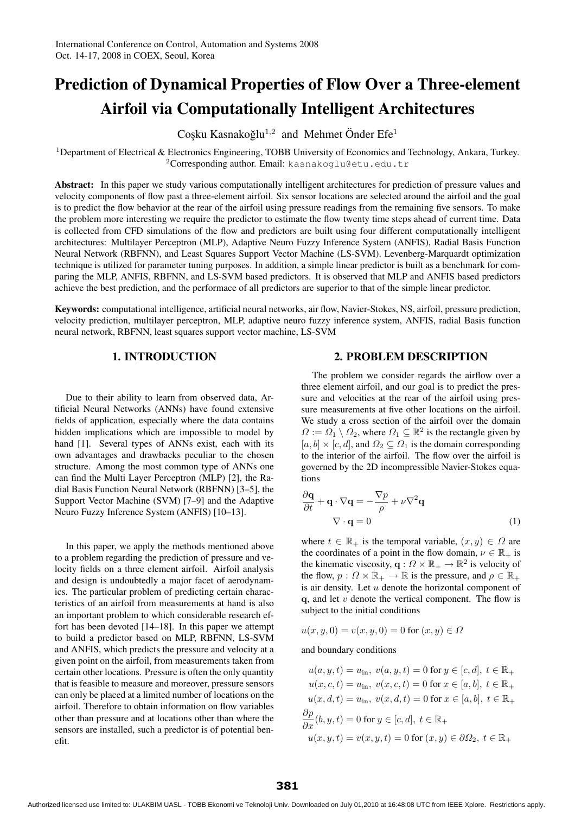# **Prediction of Dynamical Properties of Flow Over a Three-element Airfoil via Computationally Intelligent Architectures**

Coşku Kasnakoğlu<sup>1,2</sup> and Mehmet Önder Efe<sup>1</sup>

<sup>1</sup>Department of Electrical & Electronics Engineering, TOBB University of Economics and Technology, Ankara, Turkey. <sup>2</sup>Corresponding author. Email: kasnakoglu@etu.edu.tr

**Abstract:** In this paper we study various computationally intelligent architectures for prediction of pressure values and velocity components of flow past a three-element airfoil. Six sensor locations are selected around the airfoil and the goal is to predict the flow behavior at the rear of the airfoil using pressure readings from the remaining five sensors. To make the problem more interesting we require the predictor to estimate the flow twenty time steps ahead of current time. Data is collected from CFD simulations of the flow and predictors are built using four different computationally intelligent architectures: Multilayer Perceptron (MLP), Adaptive Neuro Fuzzy Inference System (ANFIS), Radial Basis Function Neural Network (RBFNN), and Least Squares Support Vector Machine (LS-SVM). Levenberg-Marquardt optimization technique is utilized for parameter tuning purposes. In addition, a simple linear predictor is built as a benchmark for comparing the MLP, ANFIS, RBFNN, and LS-SVM based predictors. It is observed that MLP and ANFIS based predictors achieve the best prediction, and the performace of all predictors are superior to that of the simple linear predictor.

**Keywords:** computational intelligence, artificial neural networks, air flow, Navier-Stokes, NS, airfoil, pressure prediction, velocity prediction, multilayer perceptron, MLP, adaptive neuro fuzzy inference system, ANFIS, radial Basis function neural network, RBFNN, least squares support vector machine, LS-SVM

## **1. INTRODUCTION**

Due to their ability to learn from observed data, Artificial Neural Networks (ANNs) have found extensive fields of application, especially where the data contains hidden implications which are impossible to model by hand [1]. Several types of ANNs exist, each with its own advantages and drawbacks peculiar to the chosen structure. Among the most common type of ANNs one can find the Multi Layer Perceptron (MLP) [2], the Radial Basis Function Neural Network (RBFNN) [3–5], the Support Vector Machine (SVM) [7–9] and the Adaptive Neuro Fuzzy Inference System (ANFIS) [10–13].

In this paper, we apply the methods mentioned above to a problem regarding the prediction of pressure and velocity fields on a three element airfoil. Airfoil analysis and design is undoubtedly a major facet of aerodynamics. The particular problem of predicting certain characteristics of an airfoil from measurements at hand is also an important problem to which considerable research effort has been devoted [14–18]. In this paper we attempt to build a predictor based on MLP, RBFNN, LS-SVM and ANFIS, which predicts the pressure and velocity at a given point on the airfoil, from measurements taken from certain other locations. Pressure is often the only quantity that is feasible to measure and moreover, pressure sensors can only be placed at a limited number of locations on the airfoil. Therefore to obtain information on flow variables other than pressure and at locations other than where the sensors are installed, such a predictor is of potential benefit.

## **2. PROBLEM DESCRIPTION**

The problem we consider regards the airflow over a three element airfoil, and our goal is to predict the pressure and velocities at the rear of the airfoil using pressure measurements at five other locations on the airfoil. We study a cross section of the airfoil over the domain  $\Omega := \Omega_1 \setminus \Omega_2$ , where  $\Omega_1 \subseteq \mathbb{R}^2$  is the rectangle given by  $[a, b] \times [c, d]$ , and  $\Omega_2 \subseteq \Omega_1$  is the domain corresponding to the interior of the airfoil. The flow over the airfoil is governed by the 2D incompressible Navier-Stokes equations

$$
\frac{\partial \mathbf{q}}{\partial t} + \mathbf{q} \cdot \nabla \mathbf{q} = -\frac{\nabla p}{\rho} + \nu \nabla^2 \mathbf{q}
$$
  

$$
\nabla \cdot \mathbf{q} = 0
$$
 (1)

where  $t \in \mathbb{R}_+$  is the temporal variable,  $(x, y) \in \Omega$  are the coordinates of a point in the flow domain,  $\nu \in \mathbb{R}_+$  is the kinematic viscosity,  $\mathbf{q} : \Omega \times \mathbb{R}_+ \to \mathbb{R}^2$  is velocity of the flow,  $p: \Omega \times \mathbb{R}_+ \to \mathbb{R}$  is the pressure, and  $\rho \in \mathbb{R}_+$ is air density. Let  $u$  denote the horizontal component of  $q$ , and let  $v$  denote the vertical component. The flow is subject to the initial conditions

$$
u(x, y, 0) = v(x, y, 0) = 0
$$
 for  $(x, y) \in \Omega$ 

and boundary conditions

$$
u(a, y, t) = u_{\text{in}}, \ v(a, y, t) = 0 \text{ for } y \in [c, d], \ t \in \mathbb{R}_+
$$
  

$$
u(x, c, t) = u_{\text{in}}, \ v(x, c, t) = 0 \text{ for } x \in [a, b], \ t \in \mathbb{R}_+
$$
  

$$
u(x, d, t) = u_{\text{in}}, \ v(x, d, t) = 0 \text{ for } x \in [a, b], \ t \in \mathbb{R}_+
$$
  

$$
\frac{\partial p}{\partial x}(b, y, t) = 0 \text{ for } y \in [c, d], \ t \in \mathbb{R}_+
$$
  

$$
u(x, y, t) = v(x, y, t) = 0 \text{ for } (x, y) \in \partial\Omega_2, \ t \in \mathbb{R}_+
$$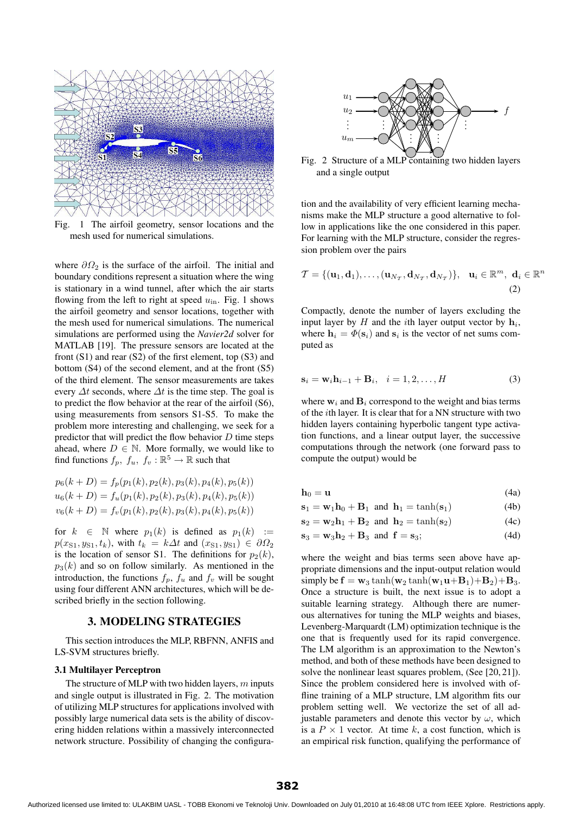

Fig. 1 The airfoil geometry, sensor locations and the mesh used for numerical simulations.

where  $\partial\Omega_2$  is the surface of the airfoil. The initial and boundary conditions represent a situation where the wing is stationary in a wind tunnel, after which the air starts flowing from the left to right at speed  $u_{\text{in}}$ . Fig. 1 shows the airfoil geometry and sensor locations, together with the mesh used for numerical simulations. The numerical simulations are performed using the *Navier2d* solver for MATLAB [19]. The pressure sensors are located at the front  $(S1)$  and rear  $(S2)$  of the first element, top  $(S3)$  and bottom (S4) of the second element, and at the front (S5) of the third element. The sensor measurements are takes every  $\Delta t$  seconds, where  $\Delta t$  is the time step. The goal is to predict the flow behavior at the rear of the airfoil (S6), using measurements from sensors S1-S5. To make the problem more interesting and challenging, we seek for a predictor that will predict the flow behavior  $D$  time steps ahead, where  $D \in \mathbb{N}$ . More formally, we would like to find functions  $f_p$ ,  $f_u$ ,  $f_v : \mathbb{R}^5 \to \mathbb{R}$  such that

$$
p_6(k+D) = f_p(p_1(k), p_2(k), p_3(k), p_4(k), p_5(k))
$$
  
\n
$$
u_6(k+D) = f_u(p_1(k), p_2(k), p_3(k), p_4(k), p_5(k))
$$
  
\n
$$
v_6(k+D) = f_v(p_1(k), p_2(k), p_3(k), p_4(k), p_5(k))
$$

for  $k \in \mathbb{N}$  where  $p_1(k)$  is defined as  $p_1(k) :=$  $p(x_{\text{S1}}, y_{\text{S1}}, t_k)$ , with  $t_k = k\Delta t$  and  $(x_{\text{S1}}, y_{\text{S1}}) \in \partial\Omega_2$ is the location of sensor S1. The definitions for  $p_2(k)$ ,  $p_3(k)$  and so on follow similarly. As mentioned in the introduction, the functions  $f_p$ ,  $f_u$  and  $f_v$  will be sought using four different ANN architectures, which will be described briefly in the section following.

#### **3. MODELING STRATEGIES**

This section introduces the MLP, RBFNN, ANFIS and LS-SVM structures briefly.

#### **3.1 Multilayer Perceptron**

The structure of MLP with two hidden layers,  $m$  inputs and single output is illustrated in Fig. 2. The motivation of utilizing MLP structures for applications involved with possibly large numerical data sets is the ability of discovering hidden relations within a massively interconnected network structure. Possibility of changing the configura-



Fig. 2 Structure of a MLP containing two hidden layers and a single output

tion and the availability of very efficient learning mechanisms make the MLP structure a good alternative to follow in applications like the one considered in this paper. For learning with the MLP structure, consider the regression problem over the pairs

$$
\mathcal{T} = \{(\mathbf{u}_1, \mathbf{d}_1), \dots, (\mathbf{u}_{N_T}, \mathbf{d}_{N_T}, \mathbf{d}_{N_T})\}, \quad \mathbf{u}_i \in \mathbb{R}^m, \ \mathbf{d}_i \in \mathbb{R}^n
$$
\n(2)

Compactly, denote the number of layers excluding the input layer by H and the *i*th layer output vector by  $h_i$ , where  $h_i = \Phi(s_i)$  and  $s_i$  is the vector of net sums computed as

$$
\mathbf{s}_{i} = \mathbf{w}_{i} \mathbf{h}_{i-1} + \mathbf{B}_{i}, \quad i = 1, 2, \dots, H
$$
 (3)

where  $w_i$  and  $B_i$  correspond to the weight and bias terms of the ith layer. It is clear that for a NN structure with two hidden layers containing hyperbolic tangent type activation functions, and a linear output layer, the successive computations through the network (one forward pass to compute the output) would be

$$
\mathbf{h}_0 = \mathbf{u} \tag{4a}
$$

$$
\mathbf{s}_1 = \mathbf{w}_1 \mathbf{h}_0 + \mathbf{B}_1 \text{ and } \mathbf{h}_1 = \tanh(\mathbf{s}_1) \tag{4b}
$$

$$
\mathbf{s}_2 = \mathbf{w}_2 \mathbf{h}_1 + \mathbf{B}_2 \quad \text{and} \quad \mathbf{h}_2 = \tanh(\mathbf{s}_2) \tag{4c}
$$

$$
\mathbf{s}_3 = \mathbf{w}_3 \mathbf{h}_2 + \mathbf{B}_3 \text{ and } \mathbf{f} = \mathbf{s}_3; \tag{4d}
$$

where the weight and bias terms seen above have appropriate dimensions and the input-output relation would simply be  $\mathbf{f} = \mathbf{w}_3 \tanh(\mathbf{w}_2 \tanh(\mathbf{w}_1 \mathbf{u} + \mathbf{B}_1) + \mathbf{B}_2) + \mathbf{B}_3.$ Once a structure is built, the next issue is to adopt a suitable learning strategy. Although there are numerous alternatives for tuning the MLP weights and biases, Levenberg-Marquardt (LM) optimization technique is the one that is frequently used for its rapid convergence. The LM algorithm is an approximation to the Newton's method, and both of these methods have been designed to solve the nonlinear least squares problem, (See [20, 21]). Since the problem considered here is involved with offline training of a MLP structure, LM algorithm fits our problem setting well. We vectorize the set of all adjustable parameters and denote this vector by  $\omega$ , which is a  $P \times 1$  vector. At time k, a cost function, which is an empirical risk function, qualifying the performance of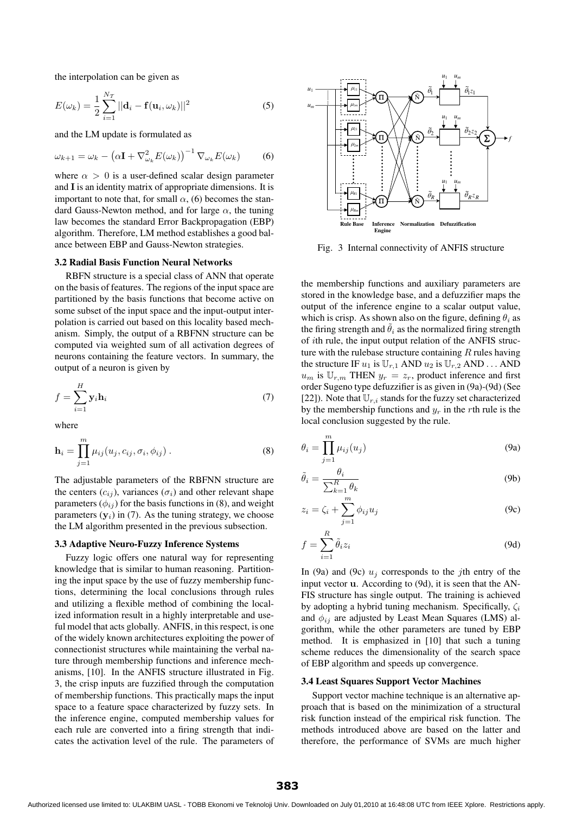the interpolation can be given as

$$
E(\omega_k) = \frac{1}{2} \sum_{i=1}^{N_T} ||\mathbf{d}_i - \mathbf{f}(\mathbf{u}_i, \omega_k)||^2
$$
 (5)

and the LM update is formulated as

$$
\omega_{k+1} = \omega_k - \left(\alpha \mathbf{I} + \nabla^2_{\omega_k} E(\omega_k)\right)^{-1} \nabla_{\omega_k} E(\omega_k)
$$
 (6)

where  $\alpha > 0$  is a user-defined scalar design parameter and I is an identity matrix of appropriate dimensions. It is important to note that, for small  $\alpha$ , (6) becomes the standard Gauss-Newton method, and for large  $\alpha$ , the tuning law becomes the standard Error Backpropagation (EBP) algorithm. Therefore, LM method establishes a good balance between EBP and Gauss-Newton strategies.

#### **3.2 Radial Basis Function Neural Networks**

RBFN structure is a special class of ANN that operate on the basis of features. The regions of the input space are partitioned by the basis functions that become active on some subset of the input space and the input-output interpolation is carried out based on this locality based mechanism. Simply, the output of a RBFNN structure can be computed via weighted sum of all activation degrees of neurons containing the feature vectors. In summary, the output of a neuron is given by

$$
f = \sum_{i=1}^{H} \mathbf{y}_i \mathbf{h}_i
$$
 (7)

where

$$
\mathbf{h}_{i} = \prod_{j=1}^{m} \mu_{ij}(u_j, c_{ij}, \sigma_i, \phi_{ij}).
$$
\n(8)

The adjustable parameters of the RBFNN structure are the centers  $(c_{ij})$ , variances  $(\sigma_i)$  and other relevant shape parameters  $(\phi_{ij})$  for the basis functions in (8), and weight parameters  $(y_i)$  in (7). As the tuning strategy, we choose the LM algorithm presented in the previous subsection.

#### **3.3 Adaptive Neuro-Fuzzy Inference Systems**

Fuzzy logic offers one natural way for representing knowledge that is similar to human reasoning. Partitioning the input space by the use of fuzzy membership functions, determining the local conclusions through rules and utilizing a flexible method of combining the localized information result in a highly interpretable and useful model that acts globally. ANFIS, in this respect, is one of the widely known architectures exploiting the power of connectionist structures while maintaining the verbal nature through membership functions and inference mechanisms, [10]. In the ANFIS structure illustrated in Fig. 3, the crisp inputs are fuzzified through the computation of membership functions. This practically maps the input space to a feature space characterized by fuzzy sets. In the inference engine, computed membership values for each rule are converted into a firing strength that indicates the activation level of the rule. The parameters of



Fig. 3 Internal connectivity of ANFIS structure

the membership functions and auxiliary parameters are stored in the knowledge base, and a defuzzifier maps the output of the inference engine to a scalar output value, which is crisp. As shown also on the figure, defining  $\theta_i$  as the firing strength and  $\tilde{\theta}_i$  as the normalized firing strength of ith rule, the input output relation of the ANFIS structure with the rulebase structure containing  $R$  rules having the structure IF  $u_1$  is  $\mathbb{U}_{r,1}$  AND  $u_2$  is  $\mathbb{U}_{r,2}$  AND . . . AND  $u_m$  is  $\mathbb{U}_{r,m}$  THEN  $y_r = z_r$ , product inference and first order Sugeno type defuzzifier is as given in (9a)-(9d) (See [22]). Note that  $\mathbb{U}_{r,i}$  stands for the fuzzy set characterized by the membership functions and  $y_r$  in the rth rule is the local conclusion suggested by the rule.

$$
\theta_i = \prod_{j=1}^m \mu_{ij}(u_j)
$$
\n(9a)

$$
\tilde{\theta}_i = \frac{\theta_i}{\sum_{k=1}^R \theta_k} \tag{9b}
$$

$$
z_i = \zeta_i + \sum_{j=1}^{m} \phi_{ij} u_j \tag{9c}
$$

$$
f = \sum_{i=1}^{R} \tilde{\theta}_i z_i
$$
 (9d)

In (9a) and (9c)  $u_i$  corresponds to the *j*th entry of the input vector u. According to (9d), it is seen that the AN-FIS structure has single output. The training is achieved by adopting a hybrid tuning mechanism. Specifically,  $\zeta_i$ and  $\phi_{ij}$  are adjusted by Least Mean Squares (LMS) algorithm, while the other parameters are tuned by EBP method. It is emphasized in [10] that such a tuning scheme reduces the dimensionality of the search space of EBP algorithm and speeds up convergence.

#### **3.4 Least Squares Support Vector Machines**

Support vector machine technique is an alternative approach that is based on the minimization of a structural risk function instead of the empirical risk function. The methods introduced above are based on the latter and therefore, the performance of SVMs are much higher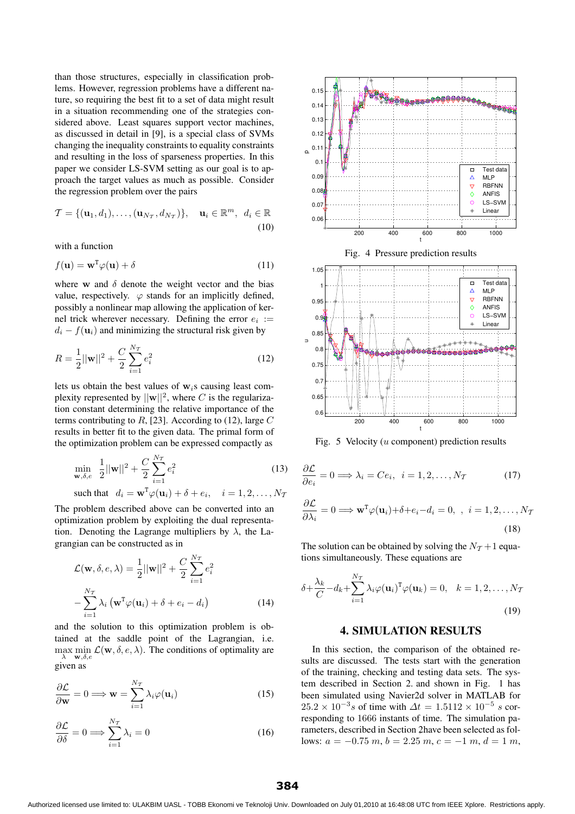than those structures, especially in classification problems. However, regression problems have a different nature, so requiring the best fit to a set of data might result in a situation recommending one of the strategies considered above. Least squares support vector machines, as discussed in detail in [9], is a special class of SVMs changing the inequality constraints to equality constraints and resulting in the loss of sparseness properties. In this paper we consider LS-SVM setting as our goal is to approach the target values as much as possible. Consider the regression problem over the pairs

$$
\mathcal{T} = \{(\mathbf{u}_1, d_1), \dots, (\mathbf{u}_{N_{\mathcal{T}}}, d_{N_{\mathcal{T}}})\}, \quad \mathbf{u}_i \in \mathbb{R}^m, \ d_i \in \mathbb{R}
$$
\n(10)

with a function

$$
f(\mathbf{u}) = \mathbf{w}^{\mathrm{T}} \varphi(\mathbf{u}) + \delta \tag{11}
$$

where w and  $\delta$  denote the weight vector and the bias value, respectively.  $\varphi$  stands for an implicitly defined, possibly a nonlinear map allowing the application of kernel trick wherever necessary. Defining the error  $e_i :=$  $d_i - f(\mathbf{u}_i)$  and minimizing the structural risk given by

$$
R = \frac{1}{2} ||\mathbf{w}||^2 + \frac{C}{2} \sum_{i=1}^{N_{\mathcal{T}}} e_i^2
$$
 (12)

lets us obtain the best values of  $w_i$ s causing least complexity represented by  $||\mathbf{w}||^2$ , where C is the regularization constant determining the relative importance of the terms contributing to R, [23]. According to (12), large  $C$ results in better fit to the given data. The primal form of the optimization problem can be expressed compactly as

$$
\min_{\mathbf{w}, \delta, e} \frac{1}{2} ||\mathbf{w}||^2 + \frac{C}{2} \sum_{i=1}^{N_{\mathcal{T}}} e_i^2
$$
\nsuch that

\n
$$
d_i = \mathbf{w}^{\mathsf{T}} \varphi(\mathbf{u}_i) + \delta + e_i, \quad i = 1, 2, \dots, N_{\mathcal{T}}
$$

The problem described above can be converted into an optimization problem by exploiting the dual representation. Denoting the Lagrange multipliers by  $\lambda$ , the Lagrangian can be constructed as in

$$
\mathcal{L}(\mathbf{w}, \delta, e, \lambda) = \frac{1}{2} ||\mathbf{w}||^2 + \frac{C}{2} \sum_{i=1}^{N_{\mathcal{T}}} e_i^2
$$

$$
-\sum_{i=1}^{N_{\mathcal{T}}} \lambda_i \left( \mathbf{w}^{\mathrm{T}} \varphi(\mathbf{u}_i) + \delta + e_i - d_i \right)
$$
(14)

and the solution to this optimization problem is obtained at the saddle point of the Lagrangian, i.e.  $\max_{\lambda} \min_{\mathbf{w}, \delta, e} \mathcal{L}(\mathbf{w}, \delta, e, \lambda)$ . The conditions of optimality are given as

$$
\frac{\partial \mathcal{L}}{\partial \mathbf{w}} = 0 \Longrightarrow \mathbf{w} = \sum_{i=1}^{N_{\mathcal{T}}} \lambda_i \varphi(\mathbf{u}_i)
$$
(15)

$$
\frac{\partial \mathcal{L}}{\partial \delta} = 0 \Longrightarrow \sum_{i=1}^{N_{\mathcal{T}}} \lambda_i = 0 \tag{16}
$$



Fig. 5 Velocity ( $u$  component) prediction results

$$
\frac{\partial \mathcal{L}}{\partial e_i} = 0 \Longrightarrow \lambda_i = Ce_i, \ i = 1, 2, \dots, N_T \tag{17}
$$

$$
\frac{\partial \mathcal{L}}{\partial \lambda_i} = 0 \Longrightarrow \mathbf{w}^{\mathrm{T}} \varphi(\mathbf{u}_i) + \delta + e_i - d_i = 0, \quad i = 1, 2, \dots, N_T
$$
\n(18)

The solution can be obtained by solving the  $N<sub>\tau</sub> + 1$  equations simultaneously. These equations are

$$
\delta + \frac{\lambda_k}{C} - d_k + \sum_{i=1}^{N_{\mathcal{T}}} \lambda_i \varphi(\mathbf{u}_i)^{\mathrm{T}} \varphi(\mathbf{u}_k) = 0, \quad k = 1, 2, \dots, N_{\mathcal{T}}
$$
\n(19)

## **4. SIMULATION RESULTS**

In this section, the comparison of the obtained results are discussed. The tests start with the generation of the training, checking and testing data sets. The system described in Section 2. and shown in Fig. 1 has been simulated using Navier2d solver in MATLAB for  $25.2 \times 10^{-3}s$  of time with  $\Delta t = 1.5112 \times 10^{-5} s$  corresponding to 1666 instants of time. The simulation parameters, described in Section 2have been selected as follows:  $a = -0.75$  m,  $b = 2.25$  m,  $c = -1$  m,  $d = 1$  m,

Authorized licensed use limited to: ULAKBIM UASL - TOBB Ekonomi ve Teknoloji Univ. Downloaded on July 01,2010 at 16:48:08 UTC from IEEE Xplore. Restrictions apply.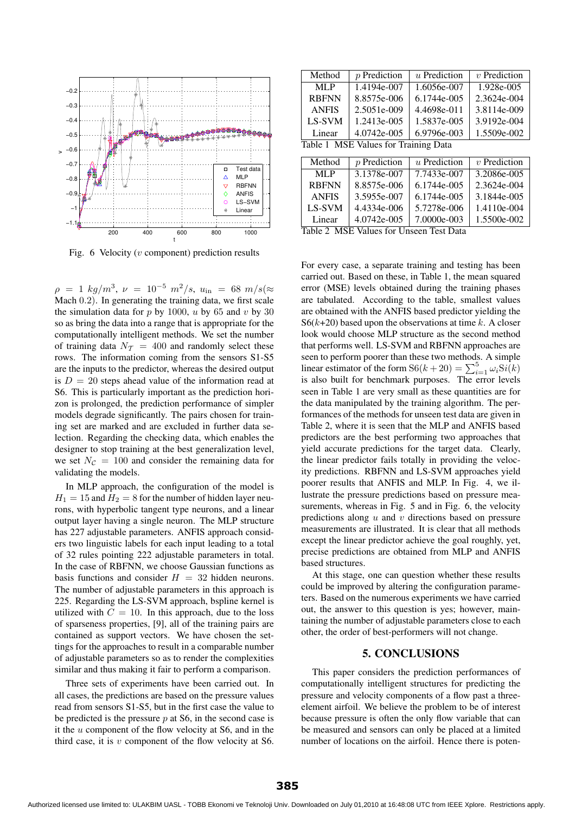

Fig.  $6$  Velocity ( $v$  component) prediction results

 $\rho = 1 \ kg/m^3$ ,  $\nu = 10^{-5} \ m^2/s$ ,  $u_{\text{in}} = 68 \ m/s$ Mach 0.2). In generating the training data, we first scale the simulation data for  $p$  by 1000,  $u$  by 65 and  $v$  by 30 so as bring the data into a range that is appropriate for the computationally intelligent methods. We set the number of training data  $N_{\tau}$  = 400 and randomly select these rows. The information coming from the sensors S1-S5 are the inputs to the predictor, whereas the desired output is  $D = 20$  steps ahead value of the information read at S6. This is particularly important as the prediction horizon is prolonged, the prediction performance of simpler models degrade significantly. The pairs chosen for training set are marked and are excluded in further data selection. Regarding the checking data, which enables the designer to stop training at the best generalization level, we set  $N_c = 100$  and consider the remaining data for validating the models.

In MLP approach, the configuration of the model is  $H_1 = 15$  and  $H_2 = 8$  for the number of hidden layer neurons, with hyperbolic tangent type neurons, and a linear output layer having a single neuron. The MLP structure has 227 adjustable parameters. ANFIS approach considers two linguistic labels for each input leading to a total of 32 rules pointing 222 adjustable parameters in total. In the case of RBFNN, we choose Gaussian functions as basis functions and consider  $H = 32$  hidden neurons. The number of adjustable parameters in this approach is 225. Regarding the LS-SVM approach, bspline kernel is utilized with  $C = 10$ . In this approach, due to the loss of sparseness properties, [9], all of the training pairs are contained as support vectors. We have chosen the settings for the approaches to result in a comparable number of adjustable parameters so as to render the complexities similar and thus making it fair to perform a comparison.

Three sets of experiments have been carried out. In all cases, the predictions are based on the pressure values read from sensors S1-S5, but in the first case the value to be predicted is the pressure  $p$  at S6, in the second case is it the u component of the flow velocity at S6, and in the third case, it is  $v$  component of the flow velocity at S6.

| Method                               | $p$ Prediction | $u$ Prediction | $v$ Prediction |
|--------------------------------------|----------------|----------------|----------------|
| <b>MLP</b>                           | 1.4194e-007    | 1.6056e-007    | 1.928e-005     |
| <b>RBFNN</b>                         | 8.8575e-006    | 6.1744e-005    | 2.3624e-004    |
| <b>ANFIS</b>                         | 2.5051e-009    | 4.4698e-011    | 3.8114e-009    |
| LS-SVM                               | 1.2413e-005    | 1.5837e-005    | 3.9192e-004    |
| Linear                               | 4.0742e-005    | 6.9796e-003    | 1.5509e-002    |
| Table 1 MSE Values for Training Data |                |                |                |
| Method                               | $p$ Prediction | $u$ Prediction | $v$ Prediction |
| MLP                                  | 3.1378e-007    | 7.7433e-007    | 3.2086e-005    |
| <b>RBFNN</b>                         | 8.8575e-006    | 6.1744e-005    | 2.3624e-004    |
| <b>ANFIS</b>                         | 3.5955e-007    | 6.1744e-005    | 3.1844e-005    |
| LS-SVM                               | 4.4334e-006    | 5.7278e-006    | 1.4110e-004    |
| Linear                               | 4.0742e-005    | 7.0000e-003    | 1.5500e-002    |

Table 2 MSE Values for Unseen Test Data

For every case, a separate training and testing has been carried out. Based on these, in Table 1, the mean squared error (MSE) levels obtained during the training phases are tabulated. According to the table, smallest values are obtained with the ANFIS based predictor yielding the  $S6(k+20)$  based upon the observations at time k. A closer look would choose MLP structure as the second method that performs well. LS-SVM and RBFNN approaches are seen to perform poorer than these two methods. A simple linear estimator of the form  $S6(k+20) = \sum_{i=1}^{5} \omega_i Si(k)$ is also built for benchmark purposes. The error levels seen in Table 1 are very small as these quantities are for the data manipulated by the training algorithm. The performances of the methods for unseen test data are given in Table 2, where it is seen that the MLP and ANFIS based predictors are the best performing two approaches that yield accurate predictions for the target data. Clearly, the linear predictor fails totally in providing the velocity predictions. RBFNN and LS-SVM approaches yield poorer results that ANFIS and MLP. In Fig. 4, we illustrate the pressure predictions based on pressure measurements, whereas in Fig. 5 and in Fig. 6, the velocity predictions along  $u$  and  $v$  directions based on pressure measurements are illustrated. It is clear that all methods except the linear predictor achieve the goal roughly, yet, precise predictions are obtained from MLP and ANFIS based structures.

At this stage, one can question whether these results could be improved by altering the configuration parameters. Based on the numerous experiments we have carried out, the answer to this question is yes; however, maintaining the number of adjustable parameters close to each other, the order of best-performers will not change.

#### **5. CONCLUSIONS**

This paper considers the prediction performances of computationally intelligent structures for predicting the pressure and velocity components of a flow past a threeelement airfoil. We believe the problem to be of interest because pressure is often the only flow variable that can be measured and sensors can only be placed at a limited number of locations on the airfoil. Hence there is poten